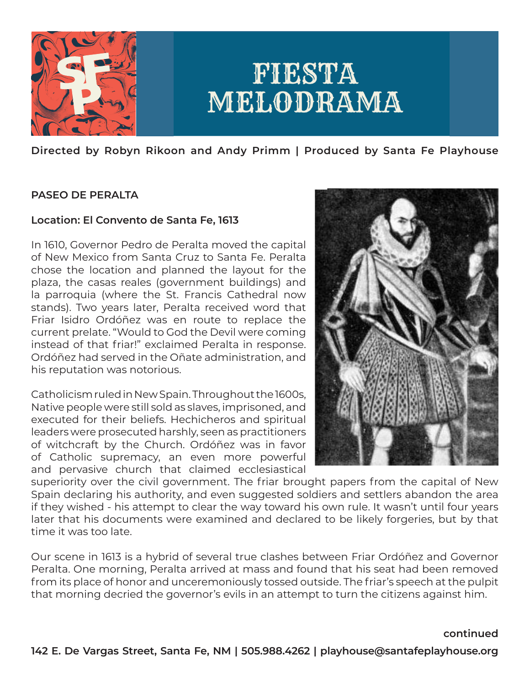

**Directed by Robyn Rikoon and Andy Primm | Produced by Santa Fe Playhouse**

## **PASEO DE PERALTA**

### **Location: El Convento de Santa Fe, 1613**

In 1610, Governor Pedro de Peralta moved the capital of New Mexico from Santa Cruz to Santa Fe. Peralta chose the location and planned the layout for the plaza, the casas reales (government buildings) and la parroquia (where the St. Francis Cathedral now stands). Two years later, Peralta received word that Friar Isidro Ordóñez was en route to replace the current prelate. "Would to God the Devil were coming instead of that friar!" exclaimed Peralta in response. Ordóñez had served in the Oñate administration, and his reputation was notorious.

Catholicism ruled in New Spain. Throughout the 1600s, Native people were still sold as slaves, imprisoned, and executed for their beliefs. Hechicheros and spiritual leaders were prosecuted harshly, seen as practitioners of witchcraft by the Church. Ordóñez was in favor of Catholic supremacy, an even more powerful and pervasive church that claimed ecclesiastical



superiority over the civil government. The friar brought papers from the capital of New Spain declaring his authority, and even suggested soldiers and settlers abandon the area if they wished - his attempt to clear the way toward his own rule. It wasn't until four years later that his documents were examined and declared to be likely forgeries, but by that time it was too late.

Our scene in 1613 is a hybrid of several true clashes between Friar Ordóñez and Governor Peralta. One morning, Peralta arrived at mass and found that his seat had been removed from its place of honor and unceremoniously tossed outside. The friar's speech at the pulpit that morning decried the governor's evils in an attempt to turn the citizens against him.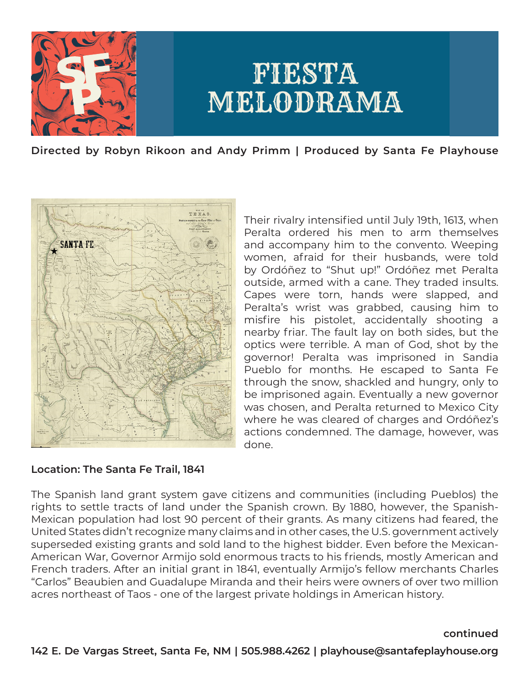

**Directed by Robyn Rikoon and Andy Primm | Produced by Santa Fe Playhouse**



Their rivalry intensified until July 19th, 1613, when Peralta ordered his men to arm themselves and accompany him to the convento. Weeping women, afraid for their husbands, were told by Ordóñez to "Shut up!" Ordóñez met Peralta outside, armed with a cane. They traded insults. Capes were torn, hands were slapped, and Peralta's wrist was grabbed, causing him to misfire his pistolet, accidentally shooting a nearby friar. The fault lay on both sides, but the optics were terrible. A man of God, shot by the governor! Peralta was imprisoned in Sandia Pueblo for months. He escaped to Santa Fe through the snow, shackled and hungry, only to be imprisoned again. Eventually a new governor was chosen, and Peralta returned to Mexico City where he was cleared of charges and Ordóñez's actions condemned. The damage, however, was done.

### **Location: The Santa Fe Trail, 1841**

The Spanish land grant system gave citizens and communities (including Pueblos) the rights to settle tracts of land under the Spanish crown. By 1880, however, the Spanish-Mexican population had lost 90 percent of their grants. As many citizens had feared, the United States didn't recognize many claims and in other cases, the U.S. government actively superseded existing grants and sold land to the highest bidder. Even before the Mexican-American War, Governor Armijo sold enormous tracts to his friends, mostly American and French traders. After an initial grant in 1841, eventually Armijo's fellow merchants Charles "Carlos" Beaubien and Guadalupe Miranda and their heirs were owners of over two million acres northeast of Taos - one of the largest private holdings in American history.